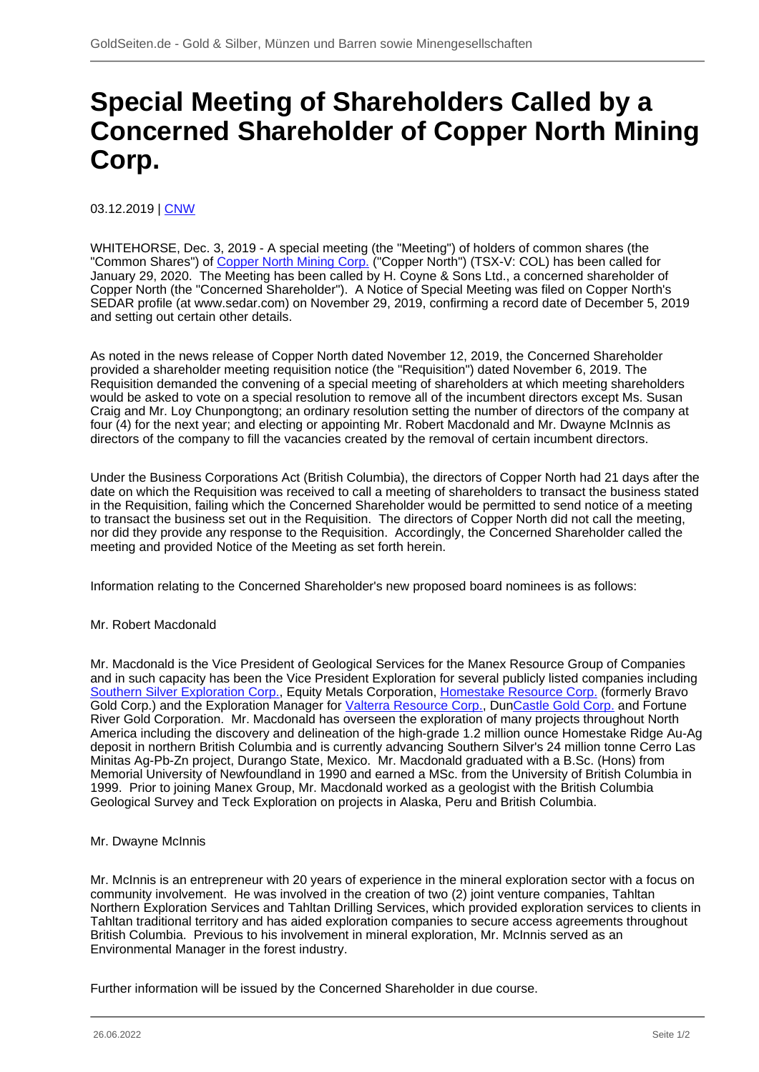## **Special Meeting of Shareholders Called by a Concerned Shareholder of Copper North Mining Corp.**

03.12.2019 | [CNW](/profil/224--CNW)

WHITEHORSE, Dec. 3, 2019 - A special meeting (the "Meeting") of holders of common shares (the "Common Shares") of [Copper North Mining Corp.](/minen/1980--Copper-North-Mining-Corp) ("Copper North") (TSX-V: COL) has been called for January 29, 2020. The Meeting has been called by H. Coyne & Sons Ltd., a concerned shareholder of Copper North (the "Concerned Shareholder"). A Notice of Special Meeting was filed on Copper North's SEDAR profile (at www.sedar.com) on November 29, 2019, confirming a record date of December 5, 2019 and setting out certain other details.

As noted in the news release of Copper North dated November 12, 2019, the Concerned Shareholder provided a shareholder meeting requisition notice (the "Requisition") dated November 6, 2019. The Requisition demanded the convening of a special meeting of shareholders at which meeting shareholders would be asked to vote on a special resolution to remove all of the incumbent directors except Ms. Susan Craig and Mr. Loy Chunpongtong; an ordinary resolution setting the number of directors of the company at four (4) for the next year; and electing or appointing Mr. Robert Macdonald and Mr. Dwayne McInnis as directors of the company to fill the vacancies created by the removal of certain incumbent directors.

Under the Business Corporations Act (British Columbia), the directors of Copper North had 21 days after the date on which the Requisition was received to call a meeting of shareholders to transact the business stated in the Requisition, failing which the Concerned Shareholder would be permitted to send notice of a meeting to transact the business set out in the Requisition. The directors of Copper North did not call the meeting, nor did they provide any response to the Requisition. Accordingly, the Concerned Shareholder called the meeting and provided Notice of the Meeting as set forth herein.

Information relating to the Concerned Shareholder's new proposed board nominees is as follows:

## Mr. Robert Macdonald

Mr. Macdonald is the Vice President of Geological Services for the Manex Resource Group of Companies and in such capacity has been the Vice President Exploration for several publicly listed companies including [Southern Silver Exploration Corp.](/minen/557--Southern-Silver-Exploration-Corp), Equity Metals Corporation, [Homestake Resource Corp.](/minen/919--Homestake-Resource-Corp) (formerly Bravo Gold Corp.) and the Exploration Manager for [Valterra Resource Corp.,](/minen/2162--Valterra-Resource-Corp) Dun[Castle Gold Corp.](/minen/1433--Castle-Gold-Corp) and Fortune River Gold Corporation. Mr. Macdonald has overseen the exploration of many projects throughout North America including the discovery and delineation of the high-grade 1.2 million ounce Homestake Ridge Au-Ag deposit in northern British Columbia and is currently advancing Southern Silver's 24 million tonne Cerro Las Minitas Ag-Pb-Zn project, Durango State, Mexico. Mr. Macdonald graduated with a B.Sc. (Hons) from Memorial University of Newfoundland in 1990 and earned a MSc. from the University of British Columbia in 1999. Prior to joining Manex Group, Mr. Macdonald worked as a geologist with the British Columbia Geological Survey and Teck Exploration on projects in Alaska, Peru and British Columbia.

## Mr. Dwayne McInnis

Mr. McInnis is an entrepreneur with 20 years of experience in the mineral exploration sector with a focus on community involvement. He was involved in the creation of two (2) joint venture companies, Tahltan Northern Exploration Services and Tahltan Drilling Services, which provided exploration services to clients in Tahltan traditional territory and has aided exploration companies to secure access agreements throughout British Columbia. Previous to his involvement in mineral exploration, Mr. McInnis served as an Environmental Manager in the forest industry.

Further information will be issued by the Concerned Shareholder in due course.